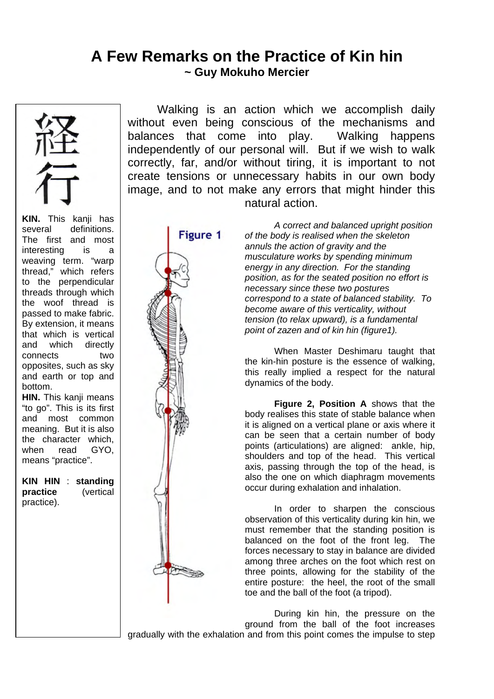## **A Few Remarks on the Practice of Kin hin ~ Guy Mokuho Mercier**



**KIN.** This kanji has several definitions. The first and most interesting is a weaving term. "warp thread," which refers to the perpendicular threads through which the woof thread is passed to make fabric. By extension, it means that which is vertical and which directly connects two opposites, such as sky and earth or top and bottom.

**HIN.** This kanii means "to go". This is its first and most common meaning. But it is also the character which, when read GYO. means "practice".

**KIN HIN** : **standing practice** (vertical practice).

Walking is an action which we accomplish daily without even being conscious of the mechanisms and balances that come into play. Walking happens independently of our personal will. But if we wish to walk correctly, far, and/or without tiring, it is important to not create tensions or unnecessary habits in our own body image, and to not make any errors that might hinder this natural action.



*A correct and balanced upright position of the body is realised when the skeleton annuls the action of gravity and the musculature works by spending minimum energy in any direction. For the standing position, as for the seated position no effort is necessary since these two postures correspond to a state of balanced stability. To become aware of this verticality, without tension (to relax upward), is a fundamental point of zazen and of kin hin (figure1).* 

When Master Deshimaru taught that the kin-hin posture is the essence of walking, this really implied a respect for the natural dynamics of the body.

**Figure 2, Position A** shows that the body realises this state of stable balance when it is aligned on a vertical plane or axis where it can be seen that a certain number of body points (articulations) are aligned: ankle, hip, shoulders and top of the head. This vertical axis, passing through the top of the head, is also the one on which diaphragm movements occur during exhalation and inhalation.

In order to sharpen the conscious observation of this verticality during kin hin, we must remember that the standing position is balanced on the foot of the front leg. The forces necessary to stay in balance are divided among three arches on the foot which rest on three points, allowing for the stability of the entire posture: the heel, the root of the small toe and the ball of the foot (a tripod).

During kin hin, the pressure on the ground from the ball of the foot increases gradually with the exhalation and from this point comes the impulse to step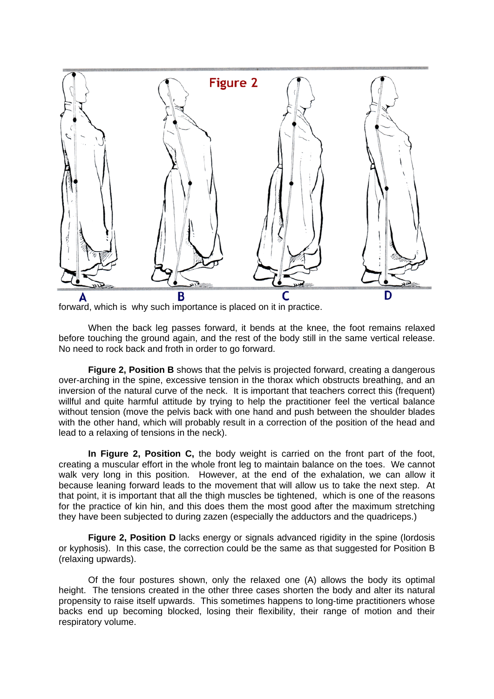

forward, which is why such importance is placed on it in practice.

 When the back leg passes forward, it bends at the knee, the foot remains relaxed before touching the ground again, and the rest of the body still in the same vertical release. No need to rock back and froth in order to go forward.

**Figure 2, Position B** shows that the pelvis is projected forward, creating a dangerous over-arching in the spine, excessive tension in the thorax which obstructs breathing, and an inversion of the natural curve of the neck. It is important that teachers correct this (frequent) willful and quite harmful attitude by trying to help the practitioner feel the vertical balance without tension (move the pelvis back with one hand and push between the shoulder blades with the other hand, which will probably result in a correction of the position of the head and lead to a relaxing of tensions in the neck).

**In Figure 2, Position C,** the body weight is carried on the front part of the foot, creating a muscular effort in the whole front leg to maintain balance on the toes. We cannot walk very long in this position. However, at the end of the exhalation, we can allow it because leaning forward leads to the movement that will allow us to take the next step. At that point, it is important that all the thigh muscles be tightened, which is one of the reasons for the practice of kin hin, and this does them the most good after the maximum stretching they have been subjected to during zazen (especially the adductors and the quadriceps.)

**Figure 2, Position D** lacks energy or signals advanced rigidity in the spine (lordosis or kyphosis). In this case, the correction could be the same as that suggested for Position B (relaxing upwards).

Of the four postures shown, only the relaxed one (A) allows the body its optimal height. The tensions created in the other three cases shorten the body and alter its natural propensity to raise itself upwards. This sometimes happens to long-time practitioners whose backs end up becoming blocked, losing their flexibility, their range of motion and their respiratory volume.